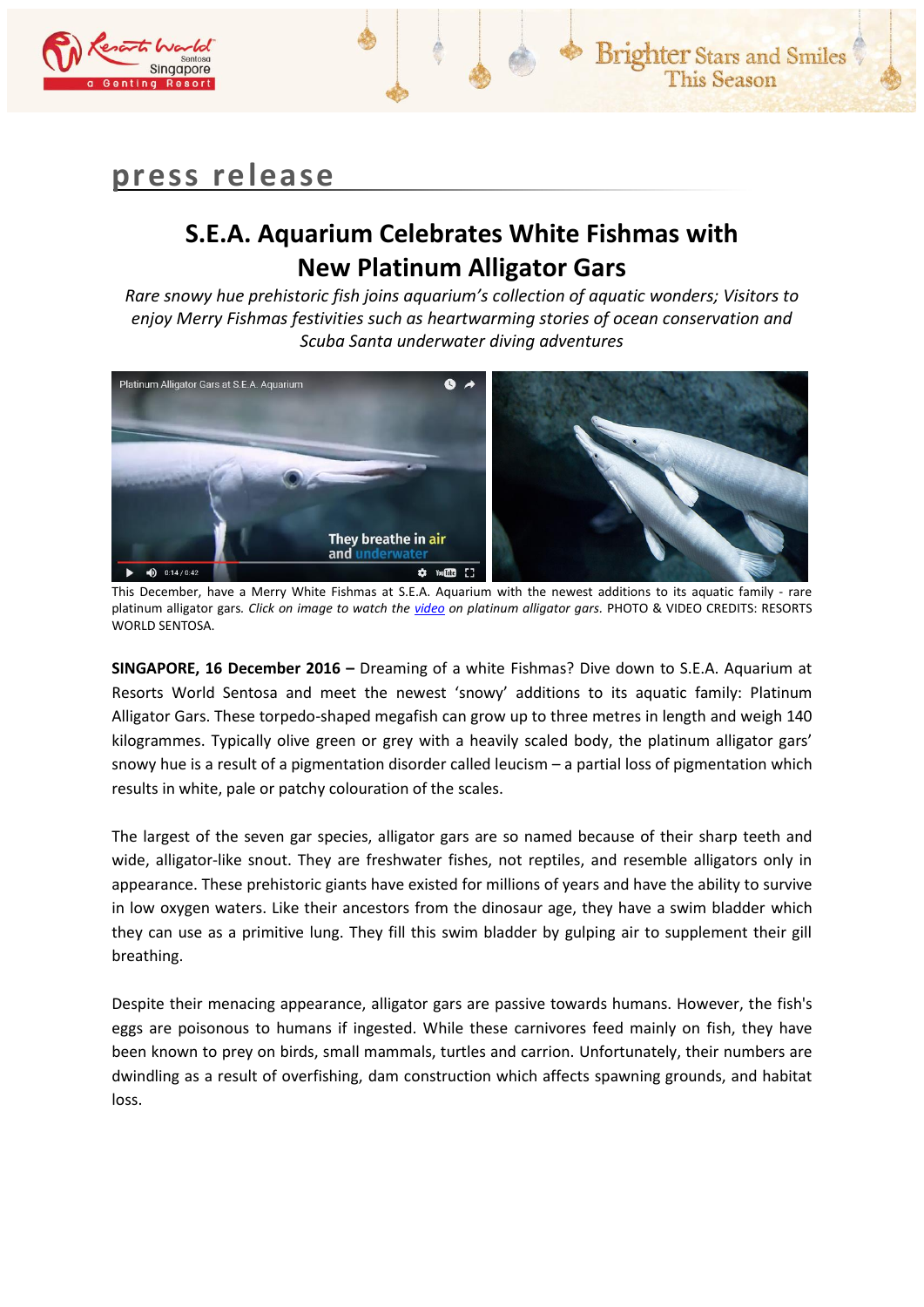

# **press release**

## **S.E.A. Aquarium Celebrates White Fishmas with New Platinum Alligator Gars**

*Rare snowy hue prehistoric fish joins aquarium's collection of aquatic wonders; Visitors to enjoy Merry Fishmas festivities such as heartwarming stories of ocean conservation and Scuba Santa underwater diving adventures*



This December, have a Merry White Fishmas at S.E.A. Aquarium with the newest additions to its aquatic family - rare platinum alligator gars*. Click on image to watch the [video](https://www.youtube.com/watch?v=Tuk9Lvvpwoc) on platinum alligator gars.* PHOTO & VIDEO CREDITS: RESORTS WORLD SENTOSA.

**SINGAPORE, 16 December 2016 –** Dreaming of a white Fishmas? Dive down to S.E.A. Aquarium at Resorts World Sentosa and meet the newest 'snowy' additions to its aquatic family: Platinum Alligator Gars. These torpedo-shaped megafish can grow up to three metres in length and weigh 140 kilogrammes. Typically olive green or grey with a heavily scaled body, the platinum alligator gars' snowy hue is a result of a pigmentation disorder called leucism – a partial loss of pigmentation which results in white, pale or patchy colouration of the scales.

The largest of the seven gar species, alligator gars are so named because of their sharp teeth and wide, alligator-like snout. They are freshwater fishes, not reptiles, and resemble alligators only in appearance. These prehistoric giants have existed for millions of years and have the ability to survive in low oxygen waters. Like their ancestors from the dinosaur age, they have a swim bladder which they can use as a primitive lung. They fill this swim bladder by gulping air to supplement their gill breathing.

Despite their menacing appearance, alligator gars are passive towards humans. However, the fish's eggs are poisonous to humans if ingested. While these carnivores feed mainly on fish, they have been known to prey on birds, small mammals, turtles and carrion. Unfortunately, their numbers are dwindling as a result of overfishing, dam construction which affects spawning grounds, and habitat loss.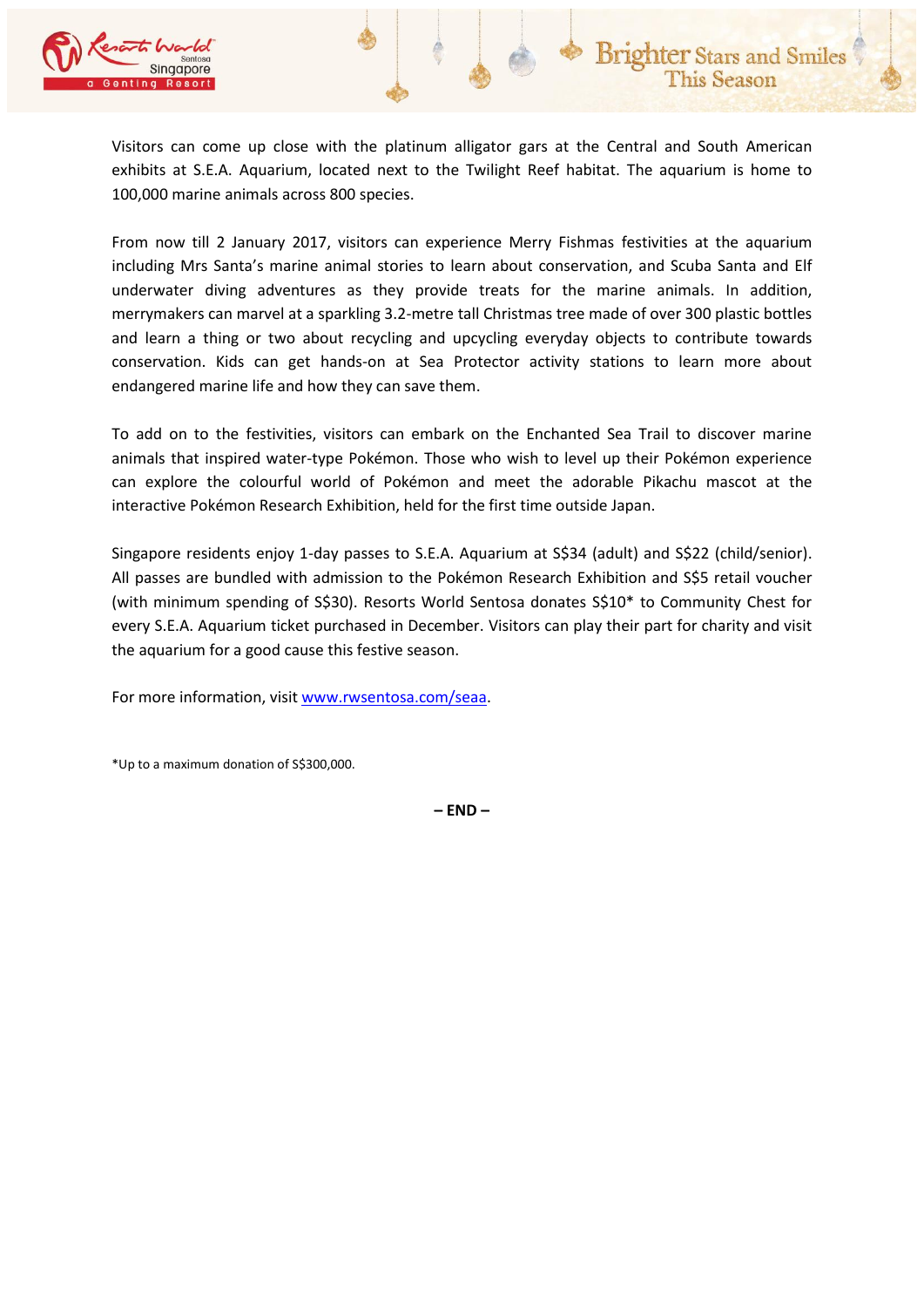

Visitors can come up close with the platinum alligator gars at the Central and South American exhibits at S.E.A. Aquarium, located next to the Twilight Reef habitat. The aquarium is home to 100,000 marine animals across 800 species.

From now till 2 January 2017, visitors can experience Merry Fishmas festivities at the aquarium including Mrs Santa's marine animal stories to learn about conservation, and Scuba Santa and Elf underwater diving adventures as they provide treats for the marine animals. In addition, merrymakers can marvel at a sparkling 3.2-metre tall Christmas tree made of over 300 plastic bottles and learn a thing or two about recycling and upcycling everyday objects to contribute towards conservation. Kids can get hands-on at Sea Protector activity stations to learn more about endangered marine life and how they can save them.

To add on to the festivities, visitors can embark on the Enchanted Sea Trail to discover marine animals that inspired water-type Pokémon. Those who wish to level up their Pokémon experience can explore the colourful world of Pokémon and meet the adorable Pikachu mascot at the interactive Pokémon Research Exhibition, held for the first time outside Japan.

Singapore residents enjoy 1-day passes to S.E.A. Aquarium at S\$34 (adult) and S\$22 (child/senior). All passes are bundled with admission to the Pokémon Research Exhibition and S\$5 retail voucher (with minimum spending of S\$30). Resorts World Sentosa donates S\$10\* to Community Chest for every S.E.A. Aquarium ticket purchased in December. Visitors can play their part for charity and visit the aquarium for a good cause this festive season.

For more information, visi[t www.rwsentosa.com/seaa.](http://www.rwsentosa.com/seaa)

\*Up to a maximum donation of S\$300,000.

**– END –**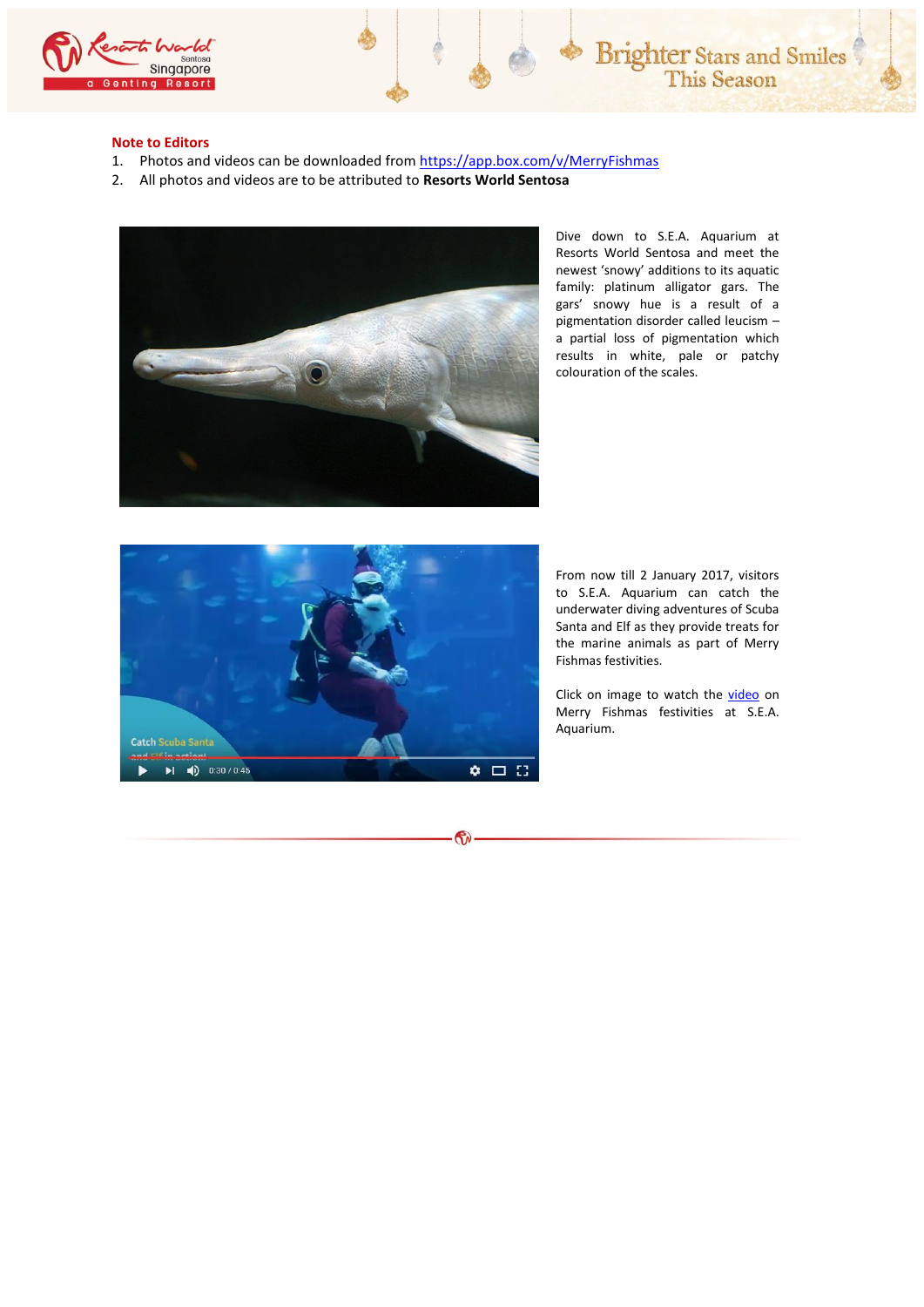

#### **Note to Editors**

- 1. Photos and videos can be downloaded fro[m https://app.box.com/v/MerryFishmas](https://app.box.com/v/MerryFishmas)
- 2. All photos and videos are to be attributed to **Resorts World Sentosa**



Dive down to S.E.A. Aquarium at Resorts World Sentosa and meet the newest 'snowy' additions to its aquatic family: platinum alligator gars. The gars' snowy hue is a result of a pigmentation disorder called leucism – a partial loss of pigmentation which results in white, pale or patchy colouration of the scales.



 $\mathbf{\hat{v}}$ 

From now till 2 January 2017, visitors to S.E.A. Aquarium can catch the underwater diving adventures of Scuba Santa and Elf as they provide treats for the marine animals as part of Merry Fishmas festivities.

Click on image to watch the [video](https://www.youtube.com/watch?v=3hocgNsgXyE) on Merry Fishmas festivities at S.E.A. Aquarium.